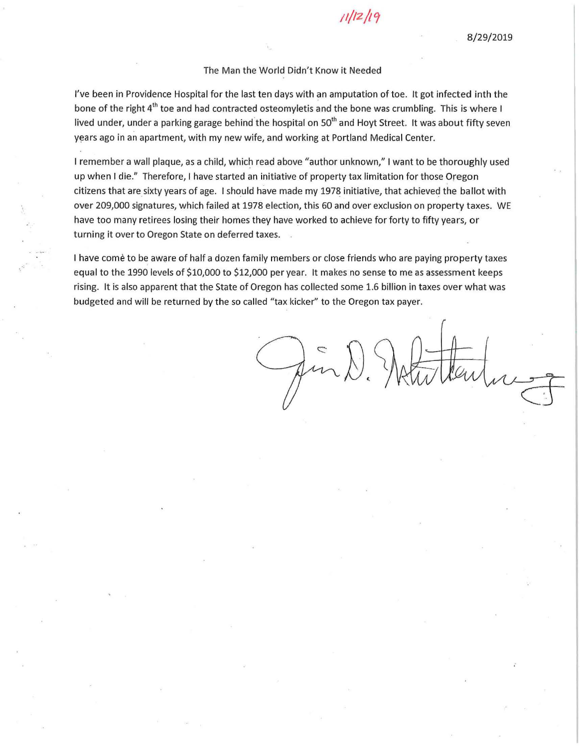# *11/12/lc;*

### The Man the World Didn't Know it Needed

I've been in Providence Hospital for the last ten days with an amputation of toe. It got infected inth the bone of the right 4<sup>th</sup> toe and had contracted osteomyletis and the bone was crumbling. This is where I lived under, under a parking garage behind the hospital on 50<sup>th</sup> and Hoyt Street. It was about fifty seven years ago in an apartment, with my new wife, and working at Portland Medical Center.

I remember a wall plaque, as a child, which read above "author unknown," I want to be thoroughly used up when I die." Therefore, I have started an initiative of property tax limitation for those Oregon citizens that are sixty years of age. I should have made my 1978 initiative, that achieved the ballot with over 209,000 signatures, which failed at 1978 election, this 60 and over exclusion on property taxes. WE have too many retirees losing their homes they have worked to achieve for forty to fifty years, or turning it over to Oregon State on deferred taxes. .

I have come to be aware of half a dozen family members or close friends who are paying property taxes equal to the 1990 levels of \$10,000 to \$12,000 per year. It makes no sense to me as assessment keeps rising. It is also apparent that the State of Oregon has collected some 1.6 billion in taxes over what was budgeted and will be returned by the so called "tax kicker" to the Oregon tax payer.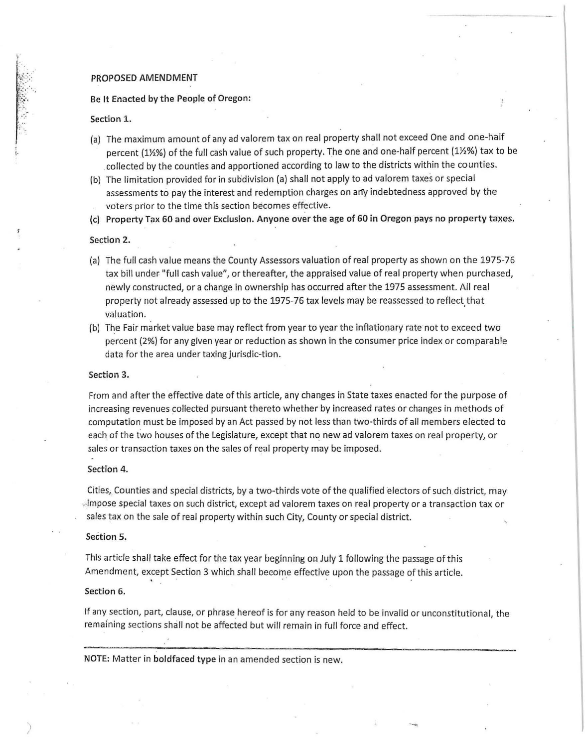#### PROPOSED AMENDMENT

#### Be It Enacted by the People of Oregon:

#### Section 1.

~ 1-

i·

- (a) The maximum amount of any ad valorem tax on real property shall not exceed One and one-half percent (1½%) of the full cash value of such property. The one and one-half percent (1½%) tax to be .collected by the counties and apportioned according to law to the districts within the counties.
- (b) The limitation provided for in subdivision (a) shall not apply to ad valorem taxes or special assessments to pay the interest and redemption charges on any indebtedness approved by the voters prior to the time this section becomes effective.

(c) Property Tpx 60 and over Exclusion. Anyone over the age of 60 in Oregon pays no property taxes.

#### Section 2.

- {a) The full cash value means the County Assessors valuation of real property as shown on the 1975-76 tax bill under "full cash value", or thereafter, the appraised value of real property when purchased, newly constructed, or a change in ownership has occurred after the 1975 assessment. All real property not already assessed up to the 1975-76 tax levels may be reassessed to reflect that valuation.
- (b) The Fair market value base may reflect from year to year the inflationary rate not to exceed two percent {2%) for any given year or reduction as shown in the consumer price index or comparable data for the area under taxing jurisdic-tion.

#### Section 3.

From and after the effective date of this article, any changes in State taxes enacted for the purpose of increasing revenues collected pursuant thereto whether by increased rates or changes in methods of computation must be imposed by an Act passed by not less than two-thirds of all members elected to each of the two houses of the Legislature, except that no new ad valorem taxes on real property, or sales or transaction taxes on the sales of real property may be imposed.

#### Section 4.

Cities,. Counties and special districts, by a two-thirds vote of the qualified electors of such.district, may impose special taxes on such district, except ad valorem taxes on real property or a transaction tax or sales tax on the sale of real property within such City, County or special district.

#### Section 5.

This article shall take effect for the tax year beginning on July 1 following the passage of this Amendment, except Section 3 which shall become effective upon the passage of this article.

#### Section 6.

If any section, part, clause, or phrase hereof is for any reason held to be invalid or unconstitutional, the remaining sections shall not be affected but will remain in full force and effect.

NOTE: Matter in boldfaced type in an amended section is new.